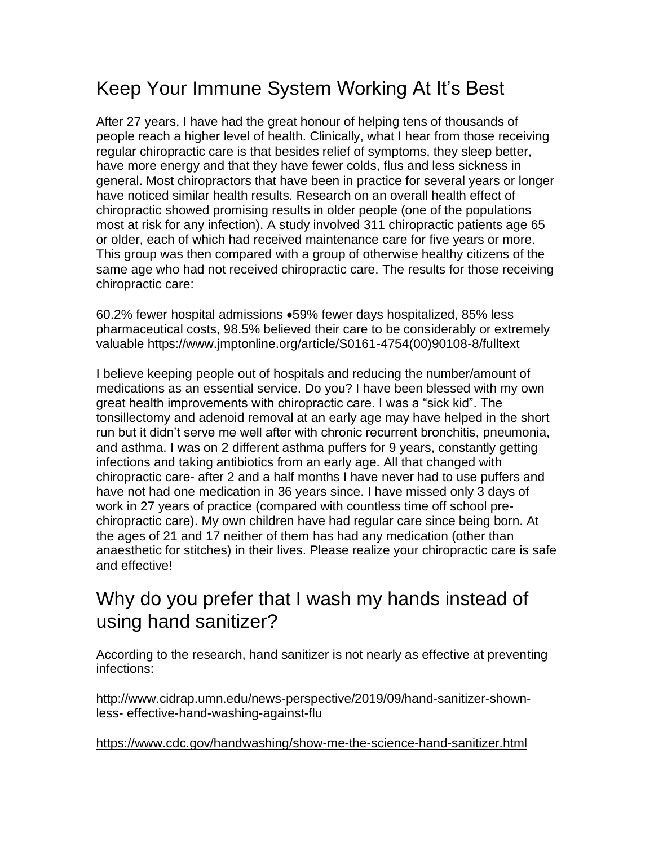## Keep Your Immune System Working At It's Best

After 27 years, I have had the great honour of helping tens of thousands of people reach a higher level of health. Clinically, what I hear from those receiving regular chiropractic care is that besides relief of symptoms, they sleep better, have more energy and that they have fewer colds, flus and less sickness in general. Most chiropractors that have been in practice for several years or longer have noticed similar health results. Research on an overall health effect of chiropractic showed promising results in older people (one of the populations most at risk for any infection). A study involved 311 chiropractic patients age 65 or older, each of which had received maintenance care for five years or more. This group was then compared with a group of otherwise healthy citizens of the same age who had not received chiropractic care. The results for those receiving chiropractic care:

60.2% fewer hospital admissions •59% fewer days hospitalized, 85% less pharmaceutical costs, 98.5% believed their care to be considerably or extremely valuable https://www.jmptonline.org/article/S0161-4754(00)90108-8/fulltext

I believe keeping people out of hospitals and reducing the number/amount of medications as an essential service. Do you? I have been blessed with my own great health improvements with chiropractic care. I was a "sick kid". The tonsillectomy and adenoid removal at an early age may have helped in the short run but it didn't serve me well after with chronic recurrent bronchitis, pneumonia, and asthma. I was on 2 different asthma puffers for 9 years, constantly getting infections and taking antibiotics from an early age. All that changed with chiropractic care- after 2 and a half months I have never had to use puffers and have not had one medication in 36 years since. I have missed only 3 days of work in 27 years of practice (compared with countless time off school prechiropractic care). My own children have had regular care since being born. At the ages of 21 and 17 neither of them has had any medication (other than anaesthetic for stitches) in their lives. Please realize your chiropractic care is safe and effective!

## Why do you prefer that I wash my hands instead of using hand sanitizer?

According to the research, hand sanitizer is not nearly as effective at preventing infections:

http://www.cidrap.umn.edu/news-perspective/2019/09/hand-sanitizer-shownless- effective-hand-washing-against-flu

<https://www.cdc.gov/handwashing/show-me-the-science-hand-sanitizer.html>